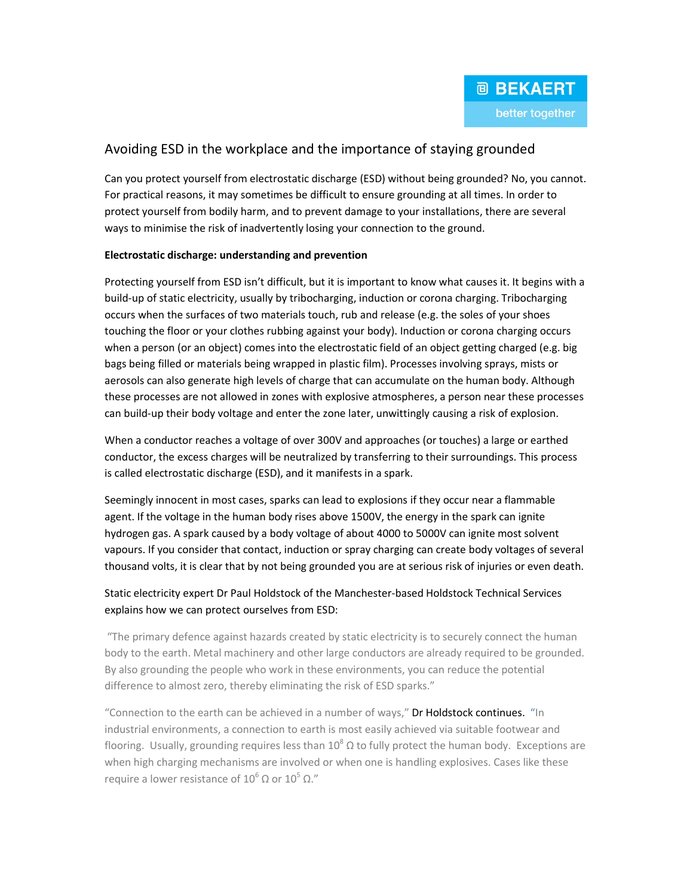# Avoiding ESD in the workplace and the importance of staying grounded

Can you protect yourself from electrostatic discharge (ESD) without being grounded? No, you cannot. For practical reasons, it may sometimes be difficult to ensure grounding at all times. In order to protect yourself from bodily harm, and to prevent damage to your installations, there are several ways to minimise the risk of inadvertently losing your connection to the ground.

### Electrostatic discharge: understanding and prevention

Protecting yourself from ESD isn't difficult, but it is important to know what causes it. It begins with a build-up of static electricity, usually by tribocharging, induction or corona charging. Tribocharging occurs when the surfaces of two materials touch, rub and release (e.g. the soles of your shoes touching the floor or your clothes rubbing against your body). Induction or corona charging occurs when a person (or an object) comes into the electrostatic field of an object getting charged (e.g. big bags being filled or materials being wrapped in plastic film). Processes involving sprays, mists or aerosols can also generate high levels of charge that can accumulate on the human body. Although these processes are not allowed in zones with explosive atmospheres, a person near these processes can build-up their body voltage and enter the zone later, unwittingly causing a risk of explosion.

When a conductor reaches a voltage of over 300V and approaches (or touches) a large or earthed conductor, the excess charges will be neutralized by transferring to their surroundings. This process is called electrostatic discharge (ESD), and it manifests in a spark.

Seemingly innocent in most cases, sparks can lead to explosions if they occur near a flammable agent. If the voltage in the human body rises above 1500V, the energy in the spark can ignite hydrogen gas. A spark caused by a body voltage of about 4000 to 5000V can ignite most solvent vapours. If you consider that contact, induction or spray charging can create body voltages of several thousand volts, it is clear that by not being grounded you are at serious risk of injuries or even death.

## Static electricity expert Dr Paul Holdstock of the Manchester-based Holdstock Technical Services explains how we can protect ourselves from ESD:

"The primary defence against hazards created by static electricity is to securely connect the human body to the earth. Metal machinery and other large conductors are already required to be grounded. By also grounding the people who work in these environments, you can reduce the potential difference to almost zero, thereby eliminating the risk of ESD sparks."

"Connection to the earth can be achieved in a number of ways," Dr Holdstock continues. "In industrial environments, a connection to earth is most easily achieved via suitable footwear and flooring. Usually, grounding requires less than 10<sup>8</sup>  $\Omega$  to fully protect the human body. Exceptions are when high charging mechanisms are involved or when one is handling explosives. Cases like these require a lower resistance of  $10^6$  Ω or  $10^5$  Ω."